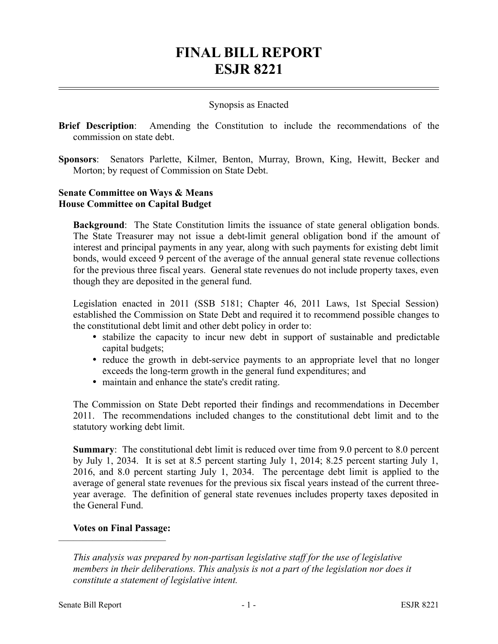## **FINAL BILL REPORT ESJR 8221**

## Synopsis as Enacted

- **Brief Description**: Amending the Constitution to include the recommendations of the commission on state debt.
- **Sponsors**: Senators Parlette, Kilmer, Benton, Murray, Brown, King, Hewitt, Becker and Morton; by request of Commission on State Debt.

## **Senate Committee on Ways & Means House Committee on Capital Budget**

**Background**: The State Constitution limits the issuance of state general obligation bonds. The State Treasurer may not issue a debt-limit general obligation bond if the amount of interest and principal payments in any year, along with such payments for existing debt limit bonds, would exceed 9 percent of the average of the annual general state revenue collections for the previous three fiscal years. General state revenues do not include property taxes, even though they are deposited in the general fund.

Legislation enacted in 2011 (SSB 5181; Chapter 46, 2011 Laws, 1st Special Session) established the Commission on State Debt and required it to recommend possible changes to the constitutional debt limit and other debt policy in order to:

- stabilize the capacity to incur new debt in support of sustainable and predictable capital budgets;
- reduce the growth in debt-service payments to an appropriate level that no longer exceeds the long-term growth in the general fund expenditures; and
- maintain and enhance the state's credit rating.

The Commission on State Debt reported their findings and recommendations in December 2011. The recommendations included changes to the constitutional debt limit and to the statutory working debt limit.

**Summary:** The constitutional debt limit is reduced over time from 9.0 percent to 8.0 percent by July 1, 2034. It is set at 8.5 percent starting July 1, 2014; 8.25 percent starting July 1, 2016, and 8.0 percent starting July 1, 2034. The percentage debt limit is applied to the average of general state revenues for the previous six fiscal years instead of the current threeyear average. The definition of general state revenues includes property taxes deposited in the General Fund.

## **Votes on Final Passage:**

––––––––––––––––––––––

*This analysis was prepared by non-partisan legislative staff for the use of legislative members in their deliberations. This analysis is not a part of the legislation nor does it constitute a statement of legislative intent.*